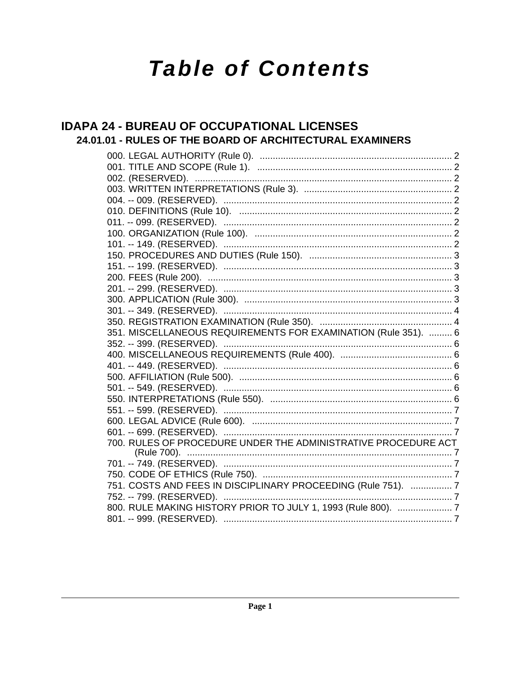# **Table of Contents**

## **IDAPA 24 - BUREAU OF OCCUPATIONAL LICENSES** 24.01.01 - RULES OF THE BOARD OF ARCHITECTURAL EXAMINERS

| 351. MISCELLANEOUS REQUIREMENTS FOR EXAMINATION (Rule 351).  6 |  |
|----------------------------------------------------------------|--|
|                                                                |  |
|                                                                |  |
|                                                                |  |
|                                                                |  |
|                                                                |  |
|                                                                |  |
|                                                                |  |
|                                                                |  |
|                                                                |  |
| 700. RULES OF PROCEDURE UNDER THE ADMINISTRATIVE PROCEDURE ACT |  |
|                                                                |  |
|                                                                |  |
| 751. COSTS AND FEES IN DISCIPLINARY PROCEEDING (Rule 751).  7  |  |
|                                                                |  |
| 800. RULE MAKING HISTORY PRIOR TO JULY 1, 1993 (Rule 800).  7  |  |
|                                                                |  |
|                                                                |  |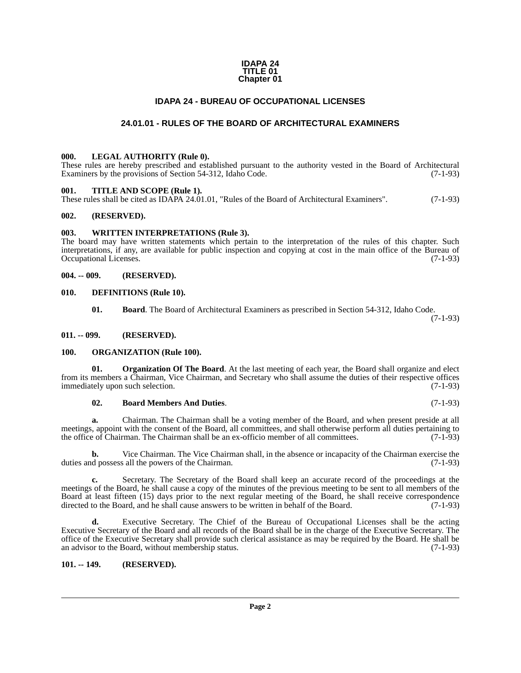#### **IDAPA 24 TITLE 01 Chapter 01**

### **IDAPA 24 - BUREAU OF OCCUPATIONAL LICENSES**

## **24.01.01 - RULES OF THE BOARD OF ARCHITECTURAL EXAMINERS**

#### <span id="page-1-2"></span><span id="page-1-1"></span><span id="page-1-0"></span>**000. LEGAL AUTHORITY (Rule 0).**

These rules are hereby prescribed and established pursuant to the authority vested in the Board of Architectural Examiners by the provisions of Section 54-312, Idaho Code. (7-1-93)

#### <span id="page-1-3"></span>**001. TITLE AND SCOPE (Rule 1).**

These rules shall be cited as IDAPA 24.01.01, "Rules of the Board of Architectural Examiners". (7-1-93)

#### <span id="page-1-4"></span>**002. (RESERVED).**

#### <span id="page-1-5"></span>**003. WRITTEN INTERPRETATIONS (Rule 3).**

The board may have written statements which pertain to the interpretation of the rules of this chapter. Such interpretations, if any, are available for public inspection and copying at cost in the main office of the Bureau of Occupational Licenses.

#### <span id="page-1-6"></span>**004. -- 009. (RESERVED).**

#### <span id="page-1-7"></span>**010. DEFINITIONS (Rule 10).**

**01. Board**. The Board of Architectural Examiners as prescribed in Section 54-312, Idaho Code.

(7-1-93)

#### <span id="page-1-8"></span>**011. -- 099. (RESERVED).**

#### <span id="page-1-9"></span>**100. ORGANIZATION (Rule 100).**

**01. Organization Of The Board**. At the last meeting of each year, the Board shall organize and elect from its members a Chairman, Vice Chairman, and Secretary who shall assume the duties of their respective offices immediately upon such selection. (7-1-93) immediately upon such selection.

#### **02. Board Members And Duties**. (7-1-93)

**a.** Chairman. The Chairman shall be a voting member of the Board, and when present preside at all meetings, appoint with the consent of the Board, all committees, and shall otherwise perform all duties pertaining to<br>the office of Chairman. The Chairman shall be an ex-officio member of all committees. (7-1-93) the office of Chairman. The Chairman shall be an ex-officio member of all committees.

**b.** Vice Chairman. The Vice Chairman shall, in the absence or incapacity of the Chairman exercise the d possess all the powers of the Chairman. (7-1-93) duties and possess all the powers of the Chairman.

**c.** Secretary. The Secretary of the Board shall keep an accurate record of the proceedings at the meetings of the Board, he shall cause a copy of the minutes of the previous meeting to be sent to all members of the Board at least fifteen (15) days prior to the next regular meeting of the Board, he shall receive correspondence directed to the Board, and he shall cause answers to be written in behalf of the Board. (7-1-93) directed to the Board, and he shall cause answers to be written in behalf of the Board.

**d.** Executive Secretary. The Chief of the Bureau of Occupational Licenses shall be the acting Executive Secretary of the Board and all records of the Board shall be in the charge of the Executive Secretary. The office of the Executive Secretary shall provide such clerical assistance as may be required by the Board. He shall be an advisor to the Board, without membership status. (7-1-93) an advisor to the Board, without membership status.

#### <span id="page-1-10"></span>**101. -- 149. (RESERVED).**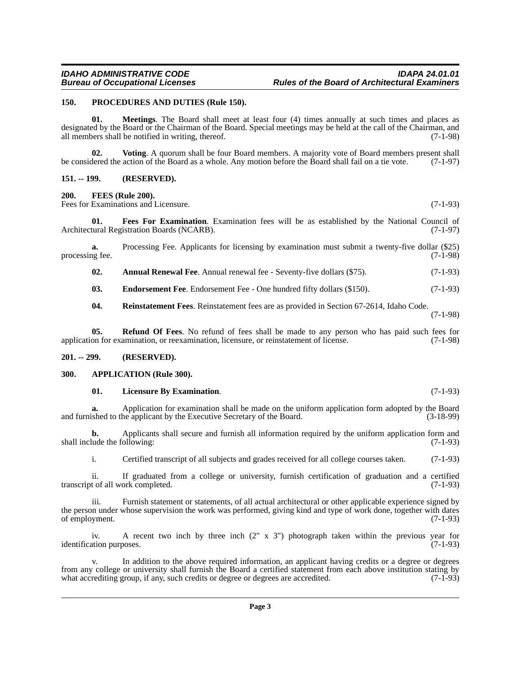#### <span id="page-2-0"></span>**150. PROCEDURES AND DUTIES (Rule 150).**

**01. Meetings**. The Board shall meet at least four (4) times annually at such times and places as designated by the Board or the Chairman of the Board. Special meetings may be held at the call of the Chairman, and all members shall be notified in writing, thereof. (7-1-98)

**02. Voting**. A quorum shall be four Board members. A majority vote of Board members present shall be considered the action of the Board as a whole. Any motion before the Board shall fail on a tie vote. (7-1-97)

#### <span id="page-2-1"></span>**151. -- 199. (RESERVED).**

#### <span id="page-2-2"></span>**200. FEES (Rule 200).**

Fees for Examinations and Licensure. (7-1-93)

**01. Fees For Examination**. Examination fees will be as established by the National Council of tural Registration Boards (NCARB). Architectural Registration Boards (NCARB).

**a.** Processing Fee. Applicants for licensing by examination must submit a twenty-five dollar (\$25) processing fee. (7-1-98)

**02.** Annual Renewal Fee. Annual renewal fee - Seventy-five dollars (\$75). (7-1-93)

**03.** Endorsement Fee. Endorsement Fee - One hundred fifty dollars (\$150). (7-1-93)

**04. Reinstatement Fees**. Reinstatement fees are as provided in Section 67-2614, Idaho Code.

(7-1-98)

**05.** Refund Of Fees. No refund of fees shall be made to any person who has paid such fees for on for examination, or reexamination, licensure, or reinstatement of license. (7-1-98) application for examination, or reexamination, licensure, or reinstatement of license.

#### <span id="page-2-3"></span>**201. -- 299. (RESERVED).**

#### <span id="page-2-4"></span>**300. APPLICATION (Rule 300).**

#### **01. Licensure By Examination**. (7-1-93)

**a.** Application for examination shall be made on the uniform application form adopted by the Board shall be made on the Board. (3-18-99) and furnished to the applicant by the Executive Secretary of the Board.

**b.** Applicants shall secure and furnish all information required by the uniform application form and lude the following: (7-1-93) shall include the following:

i. Certified transcript of all subjects and grades received for all college courses taken. (7-1-93)

ii. If graduated from a college or university, furnish certification of graduation and a certified t of all work completed. (7-1-93) transcript of all work completed.

Furnish statement or statements, of all actual architectural or other applicable experience signed by the person under whose supervision the work was performed, giving kind and type of work done, together with dates of employment. (7-1-93) of employment.

iv. A recent two inch by three inch  $(2'' \times 3'')$  photograph taken within the previous year for ation purposes.  $(7-1-93)$ identification purposes.

v. In addition to the above required information, an applicant having credits or a degree or degrees from any college or university shall furnish the Board a certified statement from each above institution stating by what accrediting group, if any, such credits or degree or degrees are accredited. (7-1-93) what accrediting group, if any, such credits or degree or degrees are accredited.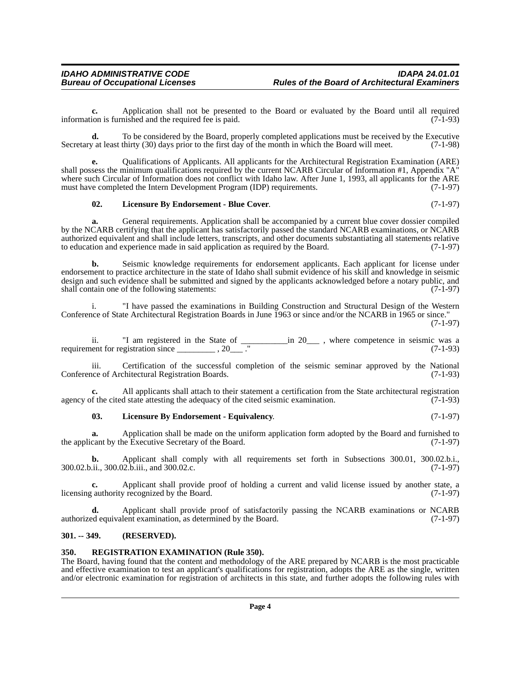**c.** Application shall not be presented to the Board or evaluated by the Board until all required ion is furnished and the required fee is paid. (7-1-93) information is furnished and the required fee is paid.

**d.** To be considered by the Board, properly completed applications must be received by the Executive v at least thirty (30) days prior to the first day of the month in which the Board will meet. (7-1-98) Secretary at least thirty (30) days prior to the first day of the month in which the Board will meet.

**e.** Qualifications of Applicants. All applicants for the Architectural Registration Examination (ARE) shall possess the minimum qualifications required by the current NCARB Circular of Information #1, Appendix "A" where such Circular of Information does not conflict with Idaho law. After June 1, 1993, all applicants for the ARE must have completed the Intern Development Program (IDP) requirements. (7-1-97) must have completed the Intern Development Program (IDP) requirements.

#### **02. Licensure By Endorsement - Blue Cover**. (7-1-97)

**a.** General requirements. Application shall be accompanied by a current blue cover dossier compiled by the NCARB certifying that the applicant has satisfactorily passed the standard NCARB examinations, or NCARB authorized equivalent and shall include letters, transcripts, and other documents substantiating all statements relative<br>to education and experience made in said application as required by the Board. (7-1-97) to education and experience made in said application as required by the Board.

**b.** Seismic knowledge requirements for endorsement applicants. Each applicant for license under endorsement to practice architecture in the state of Idaho shall submit evidence of his skill and knowledge in seismic design and such evidence shall be submitted and signed by the applicants acknowledged before a notary public, and shall contain one of the following statements: (7-1-97) shall contain one of the following statements:

i. "I have passed the examinations in Building Construction and Structural Design of the Western Conference of State Architectural Registration Boards in June 1963 or since and/or the NCARB in 1965 or since." (7-1-97)

ii. "I am registered in the State of \_\_\_\_\_\_\_\_\_\_\_in 20\_\_\_ , where competence in seismic was a requirement for registration since  $\frac{1}{2}$ , 20 $\frac{1}{2}$ ." (7-1-93)

iii. Certification of the successful completion of the seismic seminar approved by the National ince of Architectural Registration Boards. (7-1-93) Conference of Architectural Registration Boards.

**c.** All applicants shall attach to their statement a certification from the State architectural registration f the cited state attesting the adequacy of the cited seismic examination. (7-1-93) agency of the cited state attesting the adequacy of the cited seismic examination.

#### **03. Licensure By Endorsement - Equivalency**. (7-1-97)

**a.** Application shall be made on the uniform application form adopted by the Board and furnished to cant by the Executive Secretary of the Board. (7-1-97) the applicant by the Executive Secretary of the Board.

**b.** Applicant shall comply with all requirements set forth in Subsections 300.01, 300.02.b.i., .i., 300.02.b.ii., and 300.02.c. 300.02.b.ii., 300.02.b.iii., and 300.02.c.

**c.** Applicant shall provide proof of holding a current and valid license issued by another state, a (authority recognized by the Board. (7-1-97) licensing authority recognized by the Board.

**d.** Applicant shall provide proof of satisfactorily passing the NCARB examinations or NCARB ed equivalent examination, as determined by the Board. (7-1-97) authorized equivalent examination, as determined by the Board.

#### <span id="page-3-0"></span>**301. -- 349. (RESERVED).**

#### <span id="page-3-1"></span>**350. REGISTRATION EXAMINATION (Rule 350).**

The Board, having found that the content and methodology of the ARE prepared by NCARB is the most practicable and effective examination to test an applicant's qualifications for registration, adopts the ARE as the single, written and/or electronic examination for registration of architects in this state, and further adopts the following rules with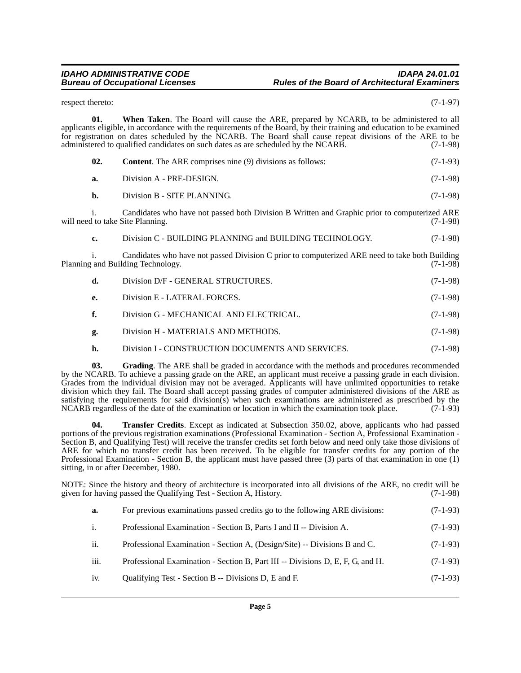### *IDAHO ADMINISTRATIVE CODE IDAPA 24.01.01 Rules of the Board of Architectural Examiners*

respect thereto: (7-1-97)

**01. When Taken**. The Board will cause the ARE, prepared by NCARB, to be administered to all applicants eligible, in accordance with the requirements of the Board, by their training and education to be examined for registration on dates scheduled by the NCARB. The Board shall cause repeat divisions of the ARE to be administered to qualified candidates on such dates as are scheduled by the NCARB. (7-1-98)

| 02. | <b>Content.</b> The ARE comprises nine (9) divisions as follows:                                                                    | $(7-1-93)$ |
|-----|-------------------------------------------------------------------------------------------------------------------------------------|------------|
| a.  | Division A - PRE-DESIGN.                                                                                                            | $(7-1-98)$ |
| b.  | Division B - SITE PLANNING.                                                                                                         | $(7-1-98)$ |
|     | Candidates who have not passed both Division B Written and Graphic prior to computerized ARE<br>will need to take Site Planning.    | $(7-1-98)$ |
| c.  | Division C - BUILDING PLANNING and BUILDING TECHNOLOGY.                                                                             | $(7-1-98)$ |
| 1.  | Candidates who have not passed Division C prior to computerized ARE need to take both Building<br>Planning and Building Technology. | $(7-1-98)$ |
| d.  | Division D/F - GENERAL STRUCTURES.                                                                                                  | $(7-1-98)$ |
| e.  | Division E - LATERAL FORCES.                                                                                                        | $(7-1-98)$ |
| f.  | Division G - MECHANICAL AND ELECTRICAL.                                                                                             | $(7-1-98)$ |
| g.  | Division H - MATERIALS AND METHODS.                                                                                                 | $(7-1-98)$ |
| h.  | Division I - CONSTRUCTION DOCUMENTS AND SERVICES.                                                                                   | $(7-1-98)$ |
|     |                                                                                                                                     |            |

**03. Grading**. The ARE shall be graded in accordance with the methods and procedures recommended by the NCARB. To achieve a passing grade on the ARE, an applicant must receive a passing grade in each division. Grades from the individual division may not be averaged. Applicants will have unlimited opportunities to retake division which they fail. The Board shall accept passing grades of computer administered divisions of the ARE as satisfying the requirements for said division(s) when such examinations are administered as prescribed by the NCARB regardless of the date of the examination or location in which the examination took place. (7-1-93)

**04. Transfer Credits**. Except as indicated at Subsection 350.02, above, applicants who had passed portions of the previous registration examinations (Professional Examination - Section A, Professional Examination - Section B, and Qualifying Test) will receive the transfer credits set forth below and need only take those divisions of ARE for which no transfer credit has been received. To be eligible for transfer credits for any portion of the Professional Examination - Section B, the applicant must have passed three (3) parts of that examination in one (1) sitting, in or after December, 1980.

NOTE: Since the history and theory of architecture is incorporated into all divisions of the ARE, no credit will be given for having passed the Qualifying Test - Section A, History. (7-1-98) given for having passed the Qualifying Test - Section A, History.

| а. |  | For previous examinations passed credits go to the following ARE divisions: | $(7-1-93)$ |
|----|--|-----------------------------------------------------------------------------|------------|
|----|--|-----------------------------------------------------------------------------|------------|

- i. Professional Examination Section B, Parts I and II -- Division A. (7-1-93)
- ii. Professional Examination Section A, (Design/Site) -- Divisions B and C. (7-1-93)
- iii. Professional Examination Section B, Part III -- Divisions D, E, F, G, and H. (7-1-93)
- iv. Qualifying Test Section B -- Divisions D, E and F. (7-1-93)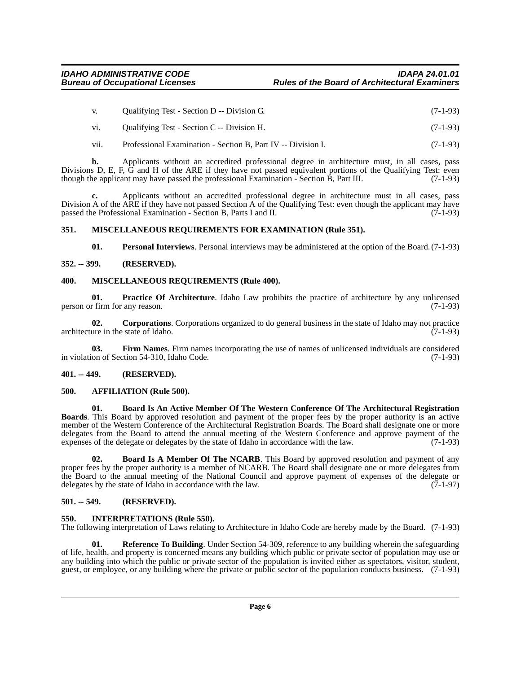- v. Qualifying Test Section D -- Division G. (7-1-93)
- vi. Qualifying Test Section C -- Division H. (7-1-93)
- vii. Professional Examination Section B, Part IV -- Division I. (7-1-93)

**b.** Applicants without an accredited professional degree in architecture must, in all cases, pass Divisions D, E, F, G and H of the ARE if they have not passed equivalent portions of the Qualifying Test: even though the applicant may have passed the professional Examination - Section B, Part III. (7-1-93)

**c.** Applicants without an accredited professional degree in architecture must in all cases, pass Division A of the ARE if they have not passed Section A of the Qualifying Test: even though the applicant may have passed the Professional Examination - Section B, Parts I and II. (7-1-93) passed the Professional Examination - Section B, Parts I and II.

#### <span id="page-5-0"></span>**351. MISCELLANEOUS REQUIREMENTS FOR EXAMINATION (Rule 351).**

**01. Personal Interviews**. Personal interviews may be administered at the option of the Board.(7-1-93)

#### <span id="page-5-1"></span>**352. -- 399. (RESERVED).**

#### <span id="page-5-2"></span>**400. MISCELLANEOUS REQUIREMENTS (Rule 400).**

**01. Practice Of Architecture**. Idaho Law prohibits the practice of architecture by any unlicensed person or firm for any reason. (7-1-93)

**02. Corporations**. Corporations organized to do general business in the state of Idaho may not practice architecture in the state of Idaho.  $(7-1-93)$ 

**03. Firm Names**. Firm names incorporating the use of names of unlicensed individuals are considered in violation of Section 54-310, Idaho Code. (7-1-93)

#### <span id="page-5-3"></span>**401. -- 449. (RESERVED).**

#### <span id="page-5-4"></span>**500. AFFILIATION (Rule 500).**

**01. Board Is An Active Member Of The Western Conference Of The Architectural Registration Boards**. This Board by approved resolution and payment of the proper fees by the proper authority is an active member of the Western Conference of the Architectural Registration Boards. The Board shall designate one or more delegates from the Board to attend the annual meeting of the Western Conference and approve payment of the expenses of the delegate or delegates by the state of Idaho in accordance with the law. (7-1-93) expenses of the delegate or delegates by the state of Idaho in accordance with the law.

**02. Board Is A Member Of The NCARB**. This Board by approved resolution and payment of any proper fees by the proper authority is a member of NCARB. The Board shall designate one or more delegates from the Board to the annual meeting of the National Council and approve payment of expenses of the delegate or delegate or delegates by the state of Idaho in accordance with the law. (7-1-97) delegates by the state of Idaho in accordance with the law.

#### <span id="page-5-5"></span>**501. -- 549. (RESERVED).**

#### <span id="page-5-6"></span>**550. INTERPRETATIONS (Rule 550).**

The following interpretation of Laws relating to Architecture in Idaho Code are hereby made by the Board. (7-1-93)

**01. Reference To Building**. Under Section 54-309, reference to any building wherein the safeguarding of life, health, and property is concerned means any building which public or private sector of population may use or any building into which the public or private sector of the population is invited either as spectators, visitor, student, guest, or employee, or any building where the private or public sector of the population conducts business. (7-1-93)